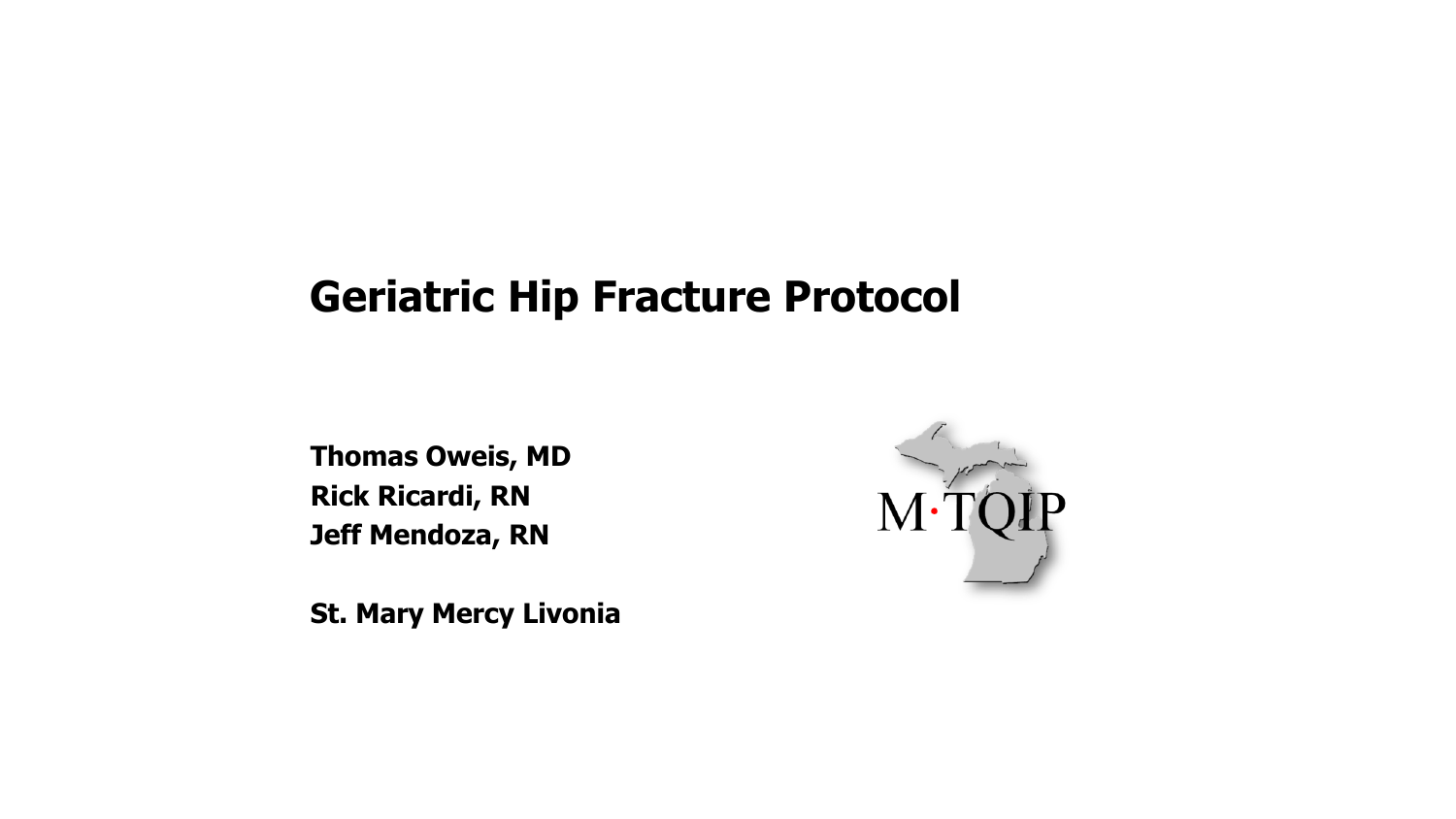#### **Geriatric Hip Fracture Protocol**

**Thomas Oweis, MD Rick Ricardi, RN Jeff Mendoza, RN**

**St. Mary Mercy Livonia** 

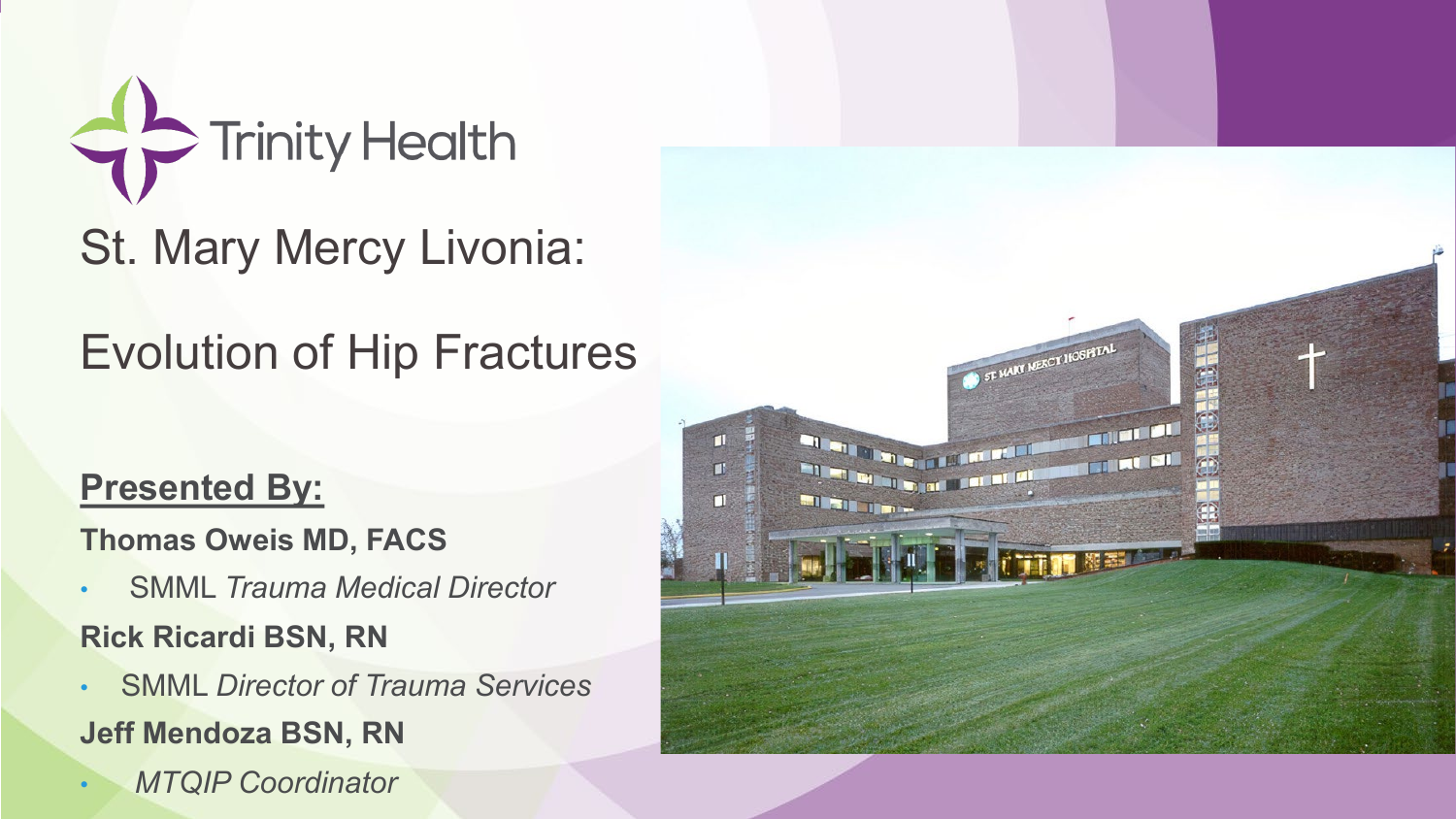

St. Mary Mercy Livonia:

## Evolution of Hip Fractures

#### **Presented By:**

**Thomas Oweis MD, FACS**

- SMML *Trauma Medical Director* **Rick Ricardi BSN, RN**
- SMML *Director of Trauma Services* **Jeff Mendoza BSN, RN**
- *MTQIP Coordinator*

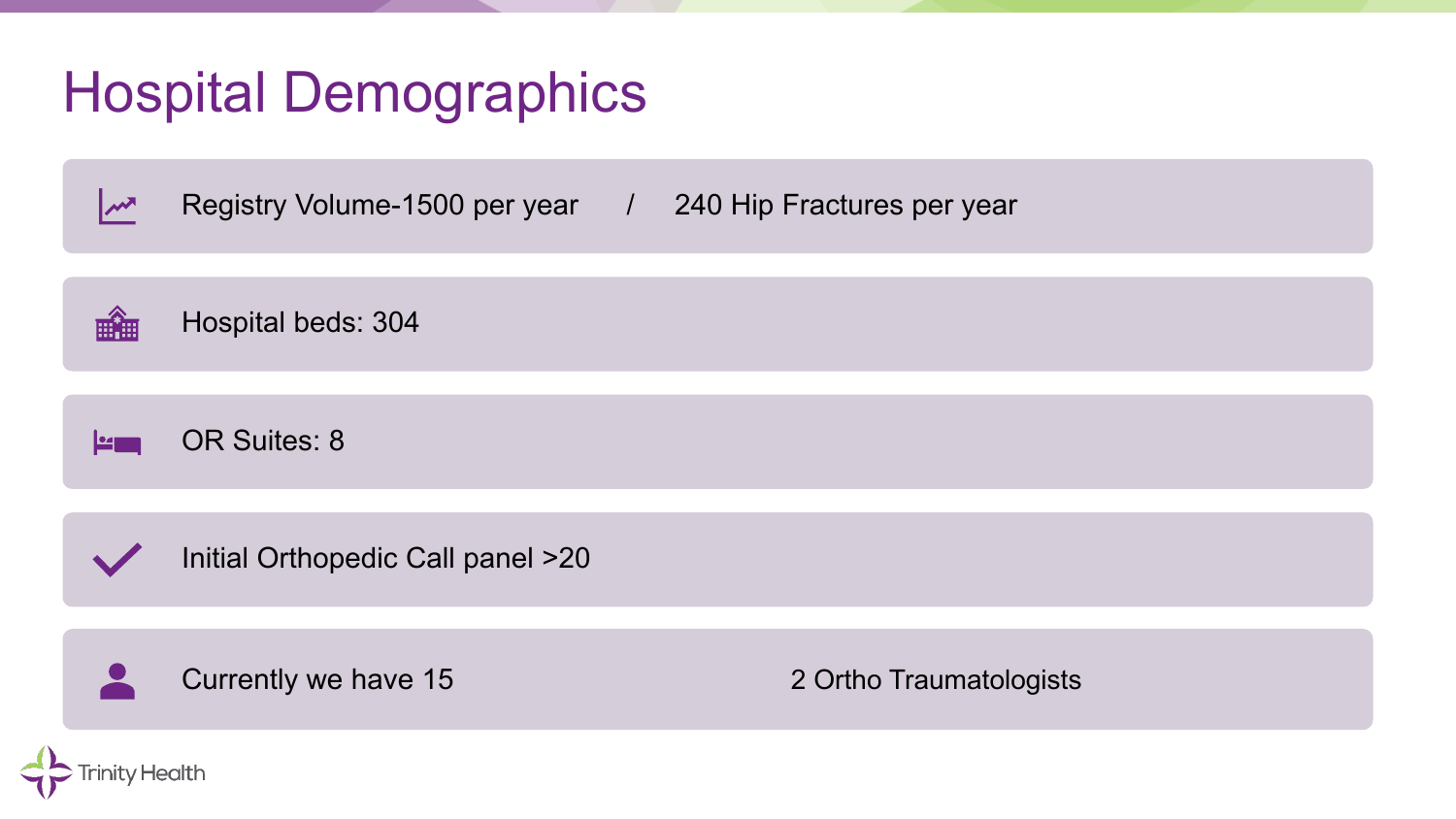## Hospital Demographics

Registry Volume-1500 per year / 240 Hip Fractures per year  $\mathbf{w}$ 

**HHHHHHHHHHHHHHHHHHHHHHHHHHHHHHHHHHHH** Hospital beds: 304

OR Suites: 8 <u>kana</u>

Initial Orthopedic Call panel >20

Currently we have 15 20tho Traumatologists

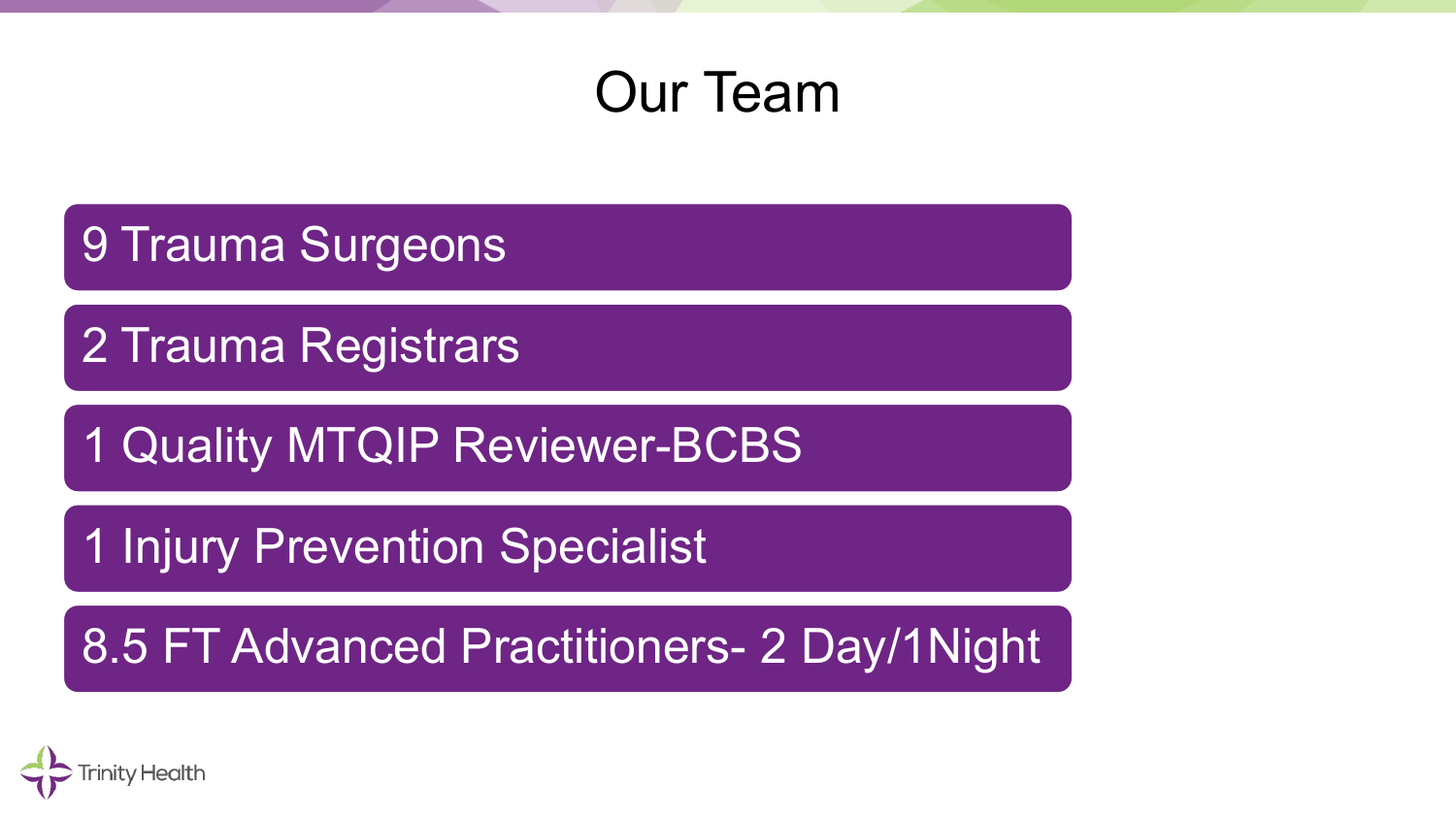#### Our Team

9 Trauma Surgeons

2 Trauma Registrars

1 Quality MTQIP Reviewer-BCBS

**1 Injury Prevention Specialist** 

8.5 FT Advanced Practitioners- 2 Day/1Night

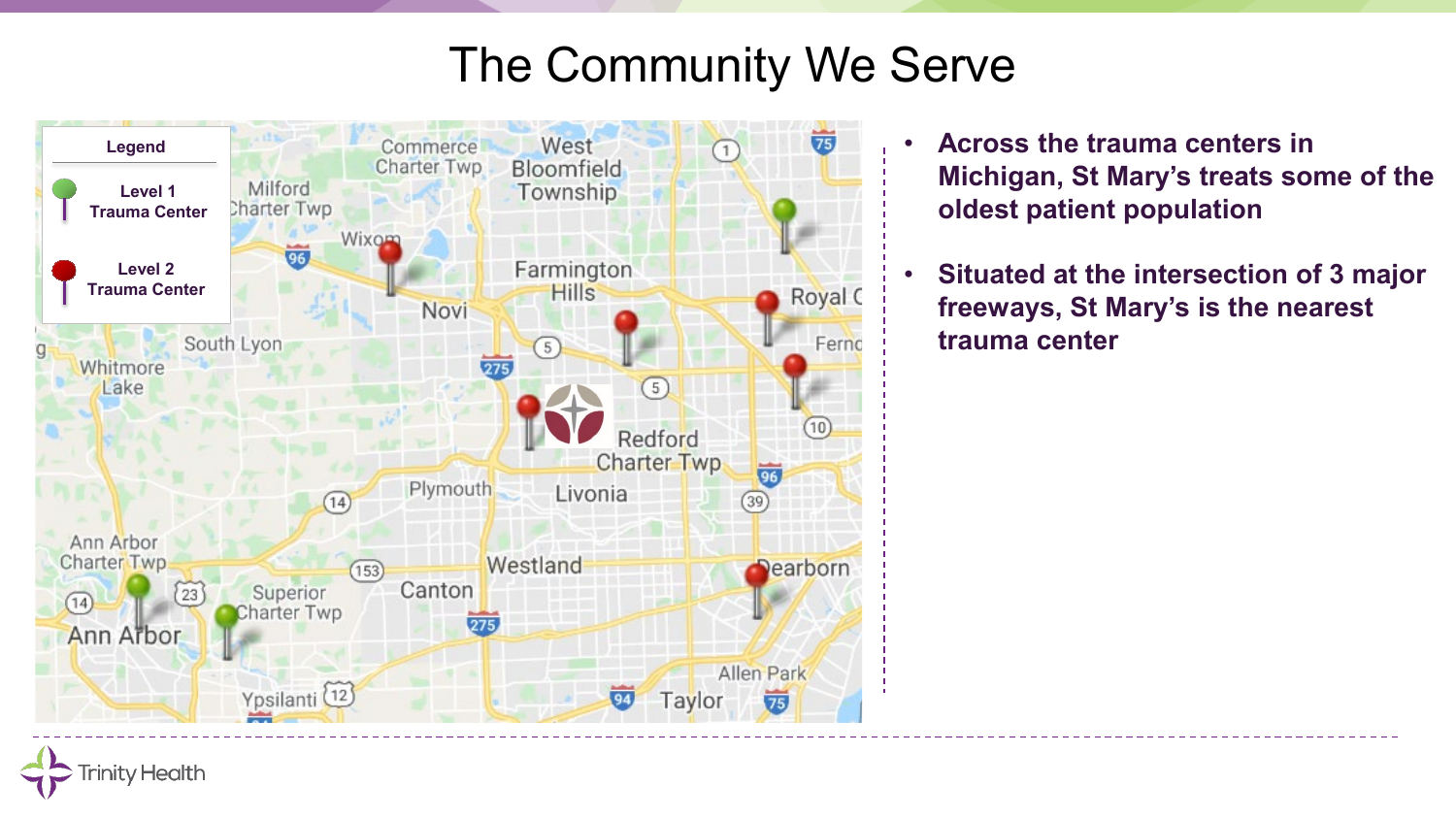#### The Community We Serve



**Trinity Health** 

- **Across the trauma centers in Michigan, St Mary's treats some of the oldest patient population**
- **Situated at the intersection of 3 major freeways, St Mary's is the nearest trauma center**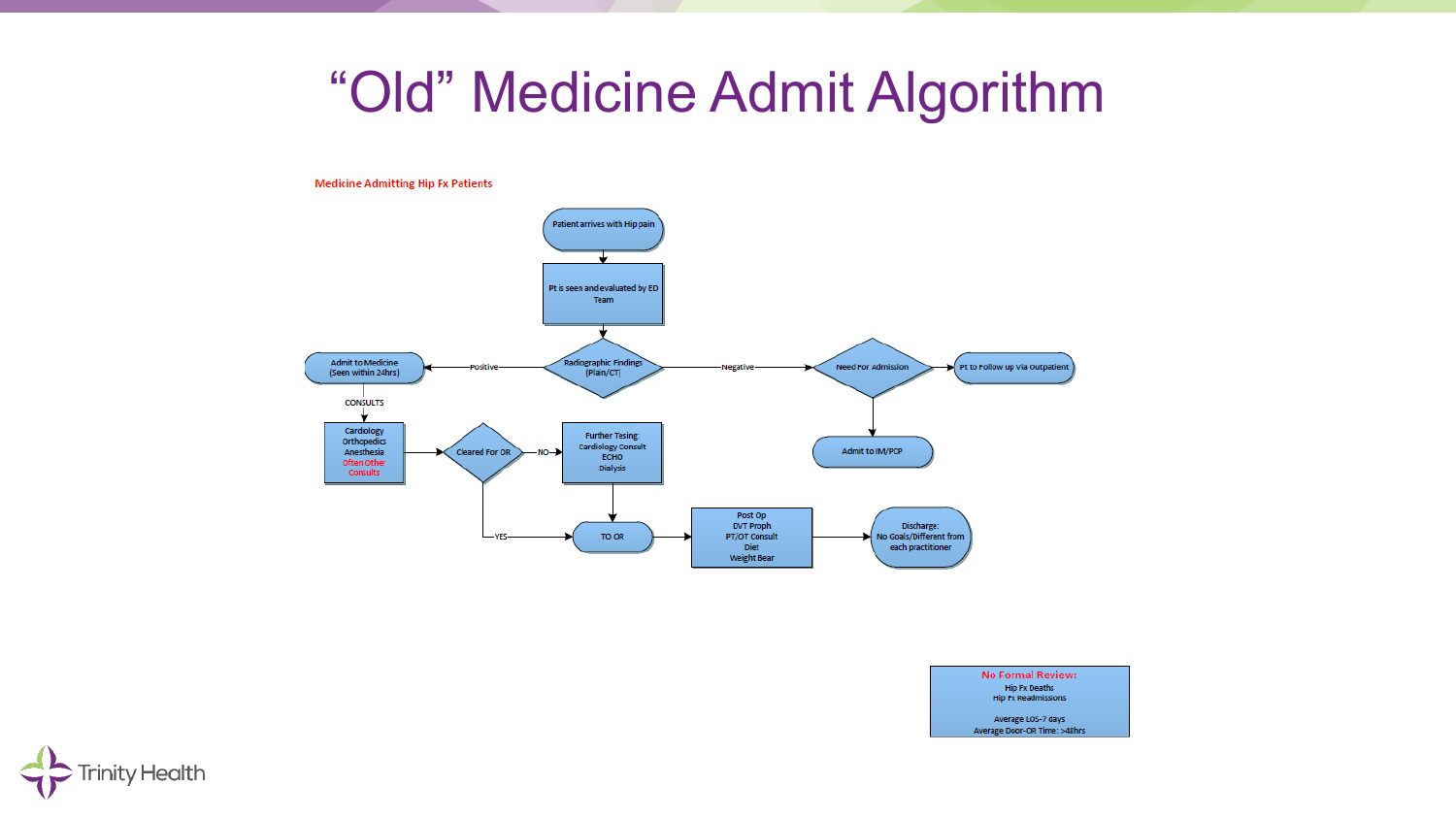#### "Old" Medicine Admit Algorithm

**Medicine Admitting Hip Fx Patients** 





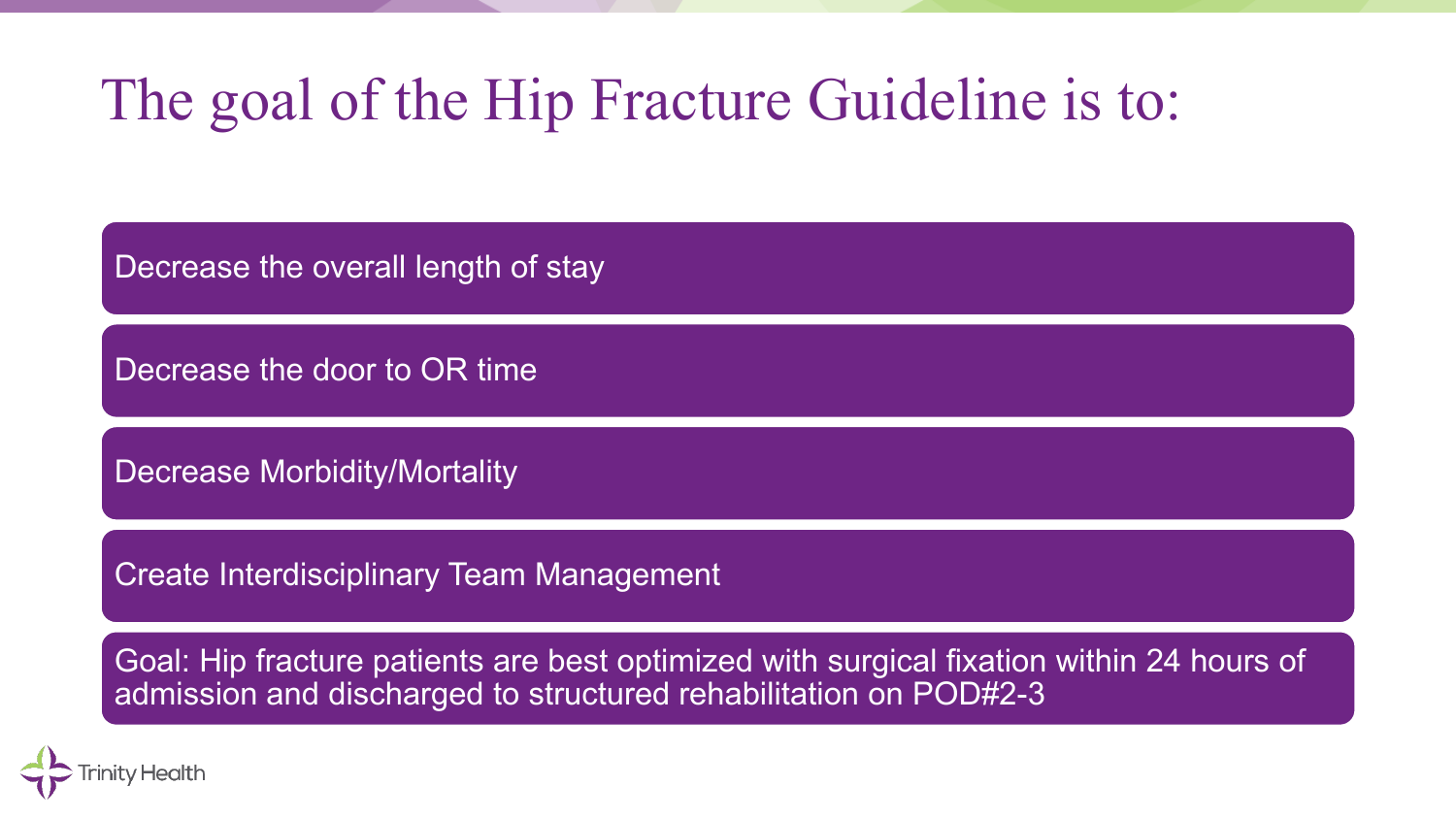# The goal of the Hip Fracture Guideline is to:

Decrease the overall length of stay

Decrease the door to OR time

Decrease Morbidity/Mortality

Create Interdisciplinary Team Management

Goal: Hip fracture patients are best optimized with surgical fixation within 24 hours of admission and discharged to structured rehabilitation on POD#2-3

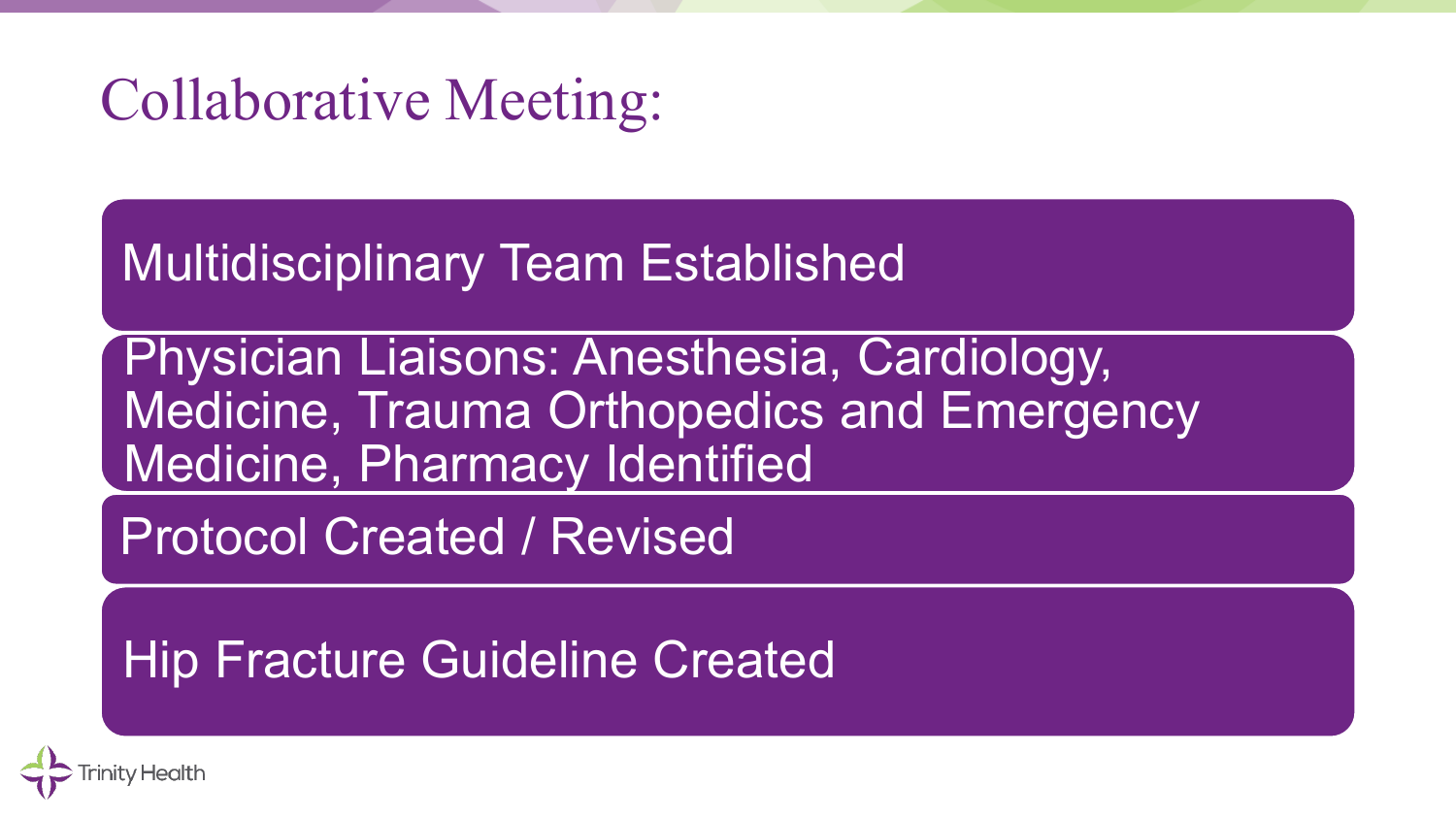# Collaborative Meeting:

Multidisciplinary Team Established

Physician Liaisons: Anesthesia, Cardiology, Medicine, Trauma Orthopedics and Emergency Medicine, Pharmacy Identified

Protocol Created / Revised

Hip Fracture Guideline Created

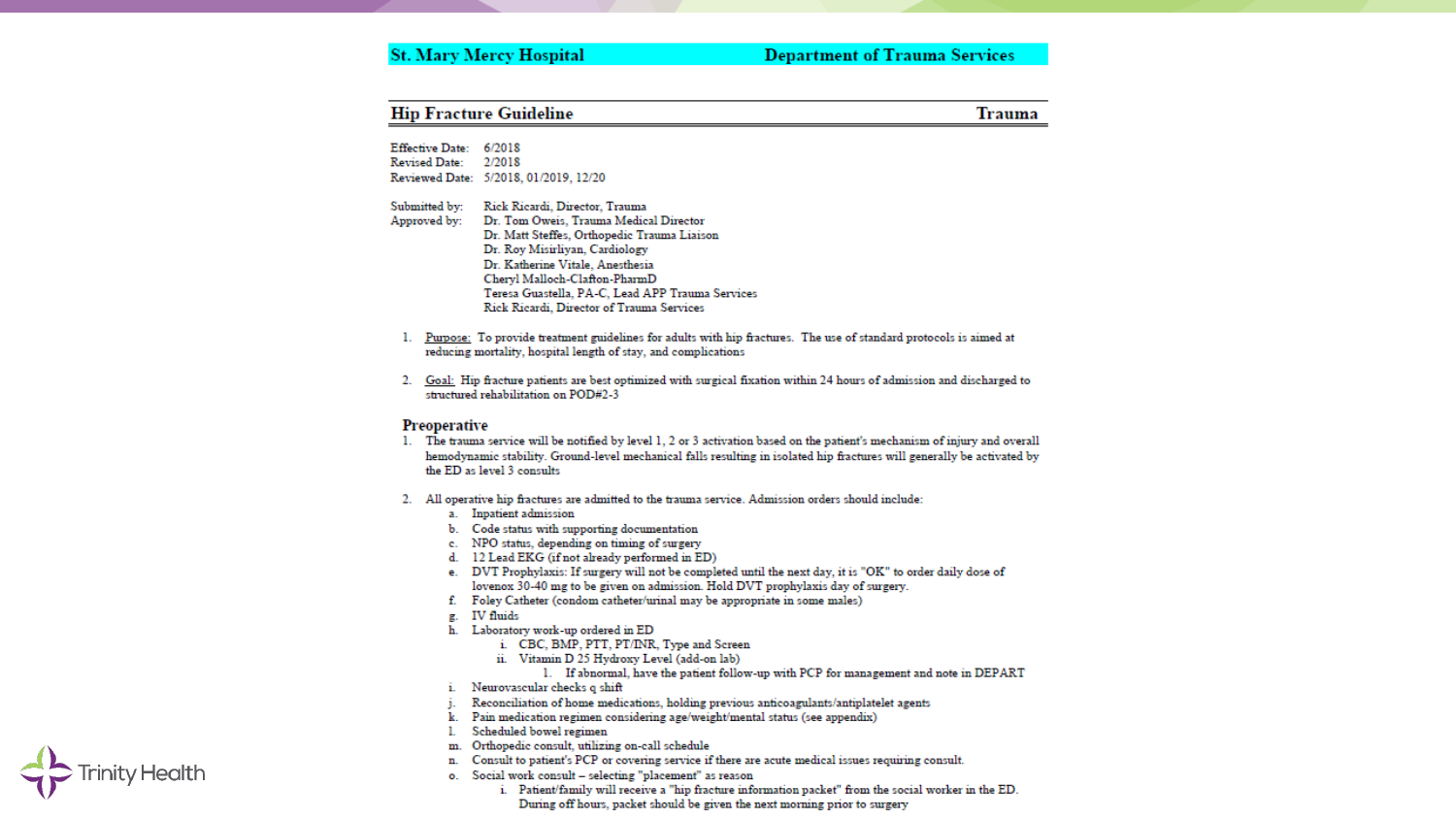#### **St. Mary Mercy Hospital**

#### **Department of Trauma Services**

| <b>Hip Fracture Guideline</b> |                                                                                                                                                                                        | Trauma |  |
|-------------------------------|----------------------------------------------------------------------------------------------------------------------------------------------------------------------------------------|--------|--|
| <b>Effective Date:</b>        | 6/2018                                                                                                                                                                                 |        |  |
| <b>Revised Date:</b>          | 2/2018                                                                                                                                                                                 |        |  |
|                               | Reviewed Date: 5/2018, 01/2019, 12/20                                                                                                                                                  |        |  |
| Submitted by:                 | Rick Ricardi, Director, Trauma                                                                                                                                                         |        |  |
| Approved by:                  | Dr. Tom Oweis, Trauma Medical Director                                                                                                                                                 |        |  |
|                               | Dr. Matt Steffes, Orthopedic Trauma Liaison                                                                                                                                            |        |  |
|                               | Dr. Roy Misirliyan, Cardiology                                                                                                                                                         |        |  |
|                               | Dr. Katherine Vitale, Anesthesia                                                                                                                                                       |        |  |
|                               | Cheryl Malloch-Clafton-PharmD                                                                                                                                                          |        |  |
|                               | Teresa Guastella, PA-C, Lead APP Trauma Services                                                                                                                                       |        |  |
|                               | Rick Ricardi, Director of Trauma Services                                                                                                                                              |        |  |
|                               | 1. Purpose: To provide treatment guidelines for adults with hip fractures. The use of standard protocols is aimed at<br>reducing mortality, hospital length of stay, and complications |        |  |
|                               | 2. Goal: Hip fracture patients are best optimized with surgical fixation within 24 hours of admission and discharged to<br>structured rehabilitation on POD#2-3                        |        |  |
| Preoperative<br>ı.            | The trauma service will be notified by level 1, 2 or 3 activation based on the patient's mechanism of injury and overall                                                               |        |  |
|                               | hemodynamic stability. Ground-level mechanical falls resulting in isolated hip fractures will generally be activated by<br>the ED as level 3 consults                                  |        |  |
|                               | 2. All operative hip fractures are admitted to the trauma service. Admission orders should include:                                                                                    |        |  |
|                               | a. Inpatient admission                                                                                                                                                                 |        |  |
|                               | b. Code status with supporting documentation                                                                                                                                           |        |  |
|                               | c. NPO status, depending on timing of surgery                                                                                                                                          |        |  |
|                               | d. 12 Lead EKG (if not already performed in ED)<br>e. DVT Prophylaxis: If surgery will not be completed until the next day, it is "OK" to order daily dose of                          |        |  |
|                               | lovenox 30-40 mg to be given on admission. Hold DVT prophylaxis day of surgery.                                                                                                        |        |  |
|                               | f. Foley Catheter (condom catheter/urinal may be appropriate in some males)                                                                                                            |        |  |
|                               | g. IV fluids                                                                                                                                                                           |        |  |
|                               | h. Laboratory work-up ordered in ED                                                                                                                                                    |        |  |
|                               | i. CBC, BMP, PTT, PT/INR, Type and Screen                                                                                                                                              |        |  |
|                               | ii. Vitamin D 25 Hydroxy Level (add-on lab)                                                                                                                                            |        |  |
|                               | 1. If abnormal, have the patient follow-up with PCP for management and note in DEPART                                                                                                  |        |  |
|                               | i. Neurovascular checks q shift                                                                                                                                                        |        |  |
| $1 -$                         | Reconciliation of home medications, holding previous anticoagulants/antiplatelet agents                                                                                                |        |  |
|                               | k. Pain medication regimen considering age/weight/mental status (see appendix)                                                                                                         |        |  |
| ь.                            | Scheduled bowel regimen                                                                                                                                                                |        |  |

 $\triangleright$  Trinity Health

- m. Orthopedic consult, utilizing on-call schedule
- n. Consult to patient's PCP or covering service if there are acute medical issues requiring consult.
- o. Social work consult selecting "placement" as reason
	- i. Patient/family will receive a "hip fracture information packet" from the social worker in the ED. During off hours, packet should be given the next morning prior to surgery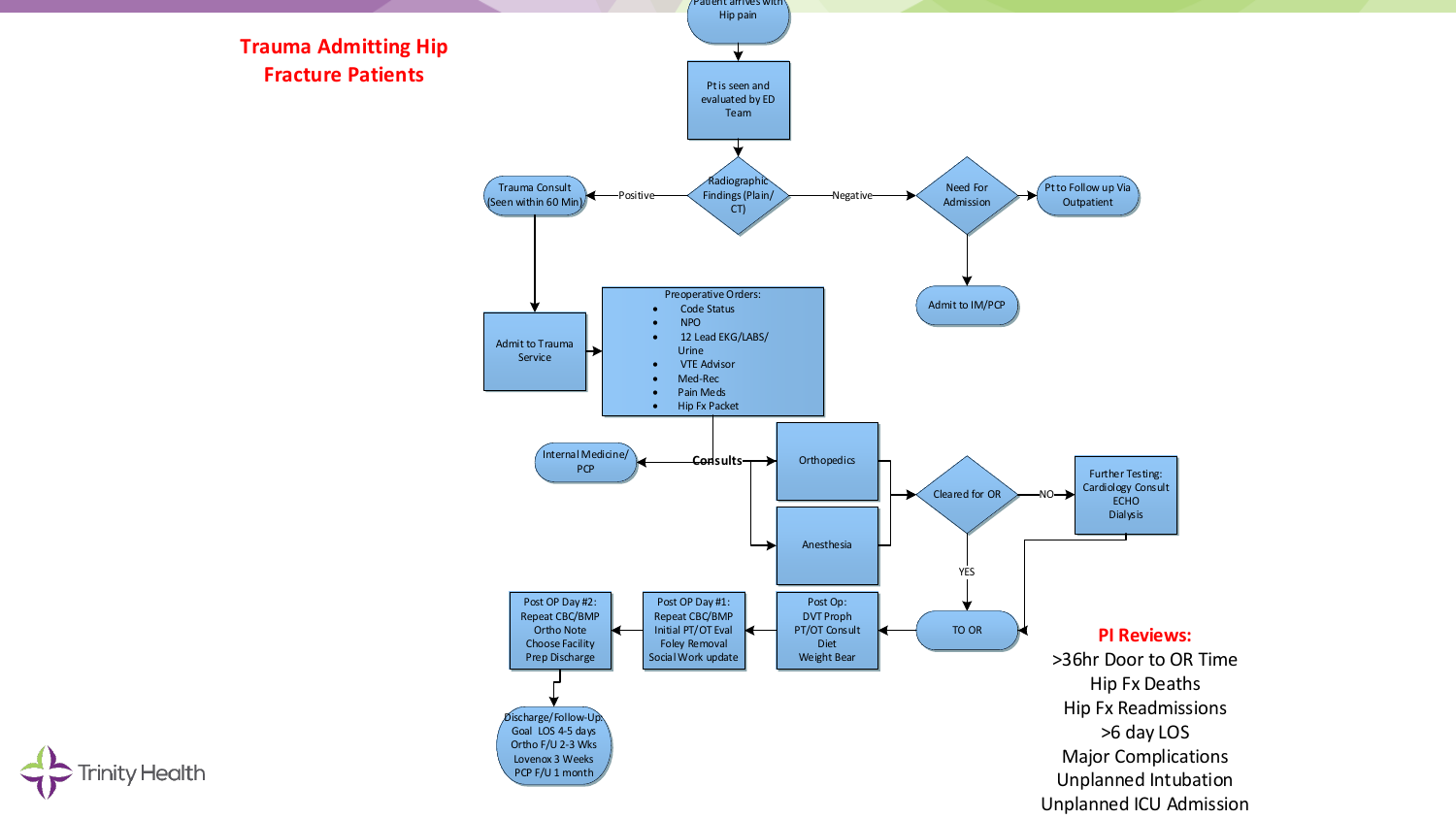

**Trinity Health**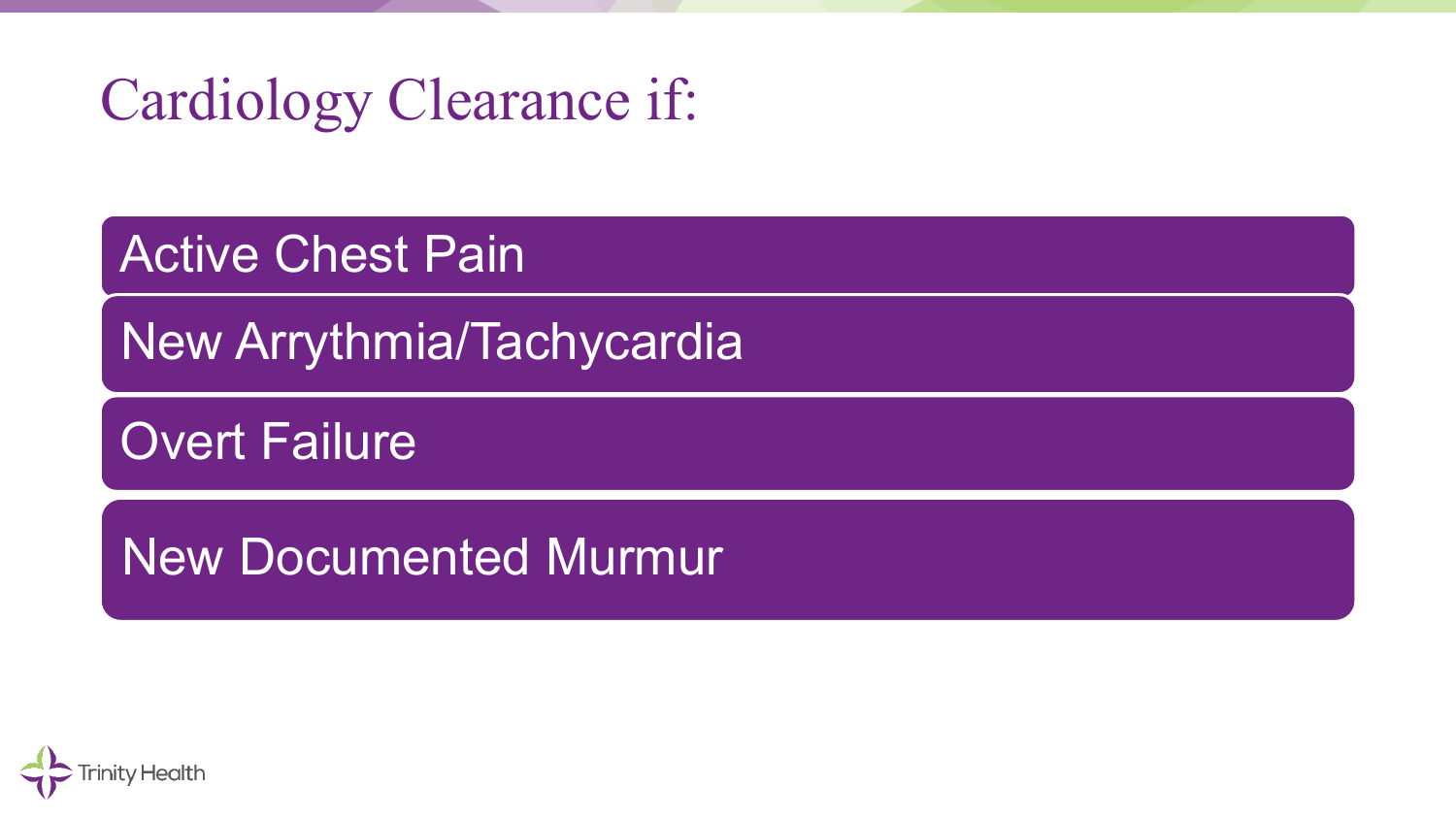# Cardiology Clearance if:

Active Chest Pain

New Arrythmia/Tachycardia

Overt Failure

New Documented Murmur

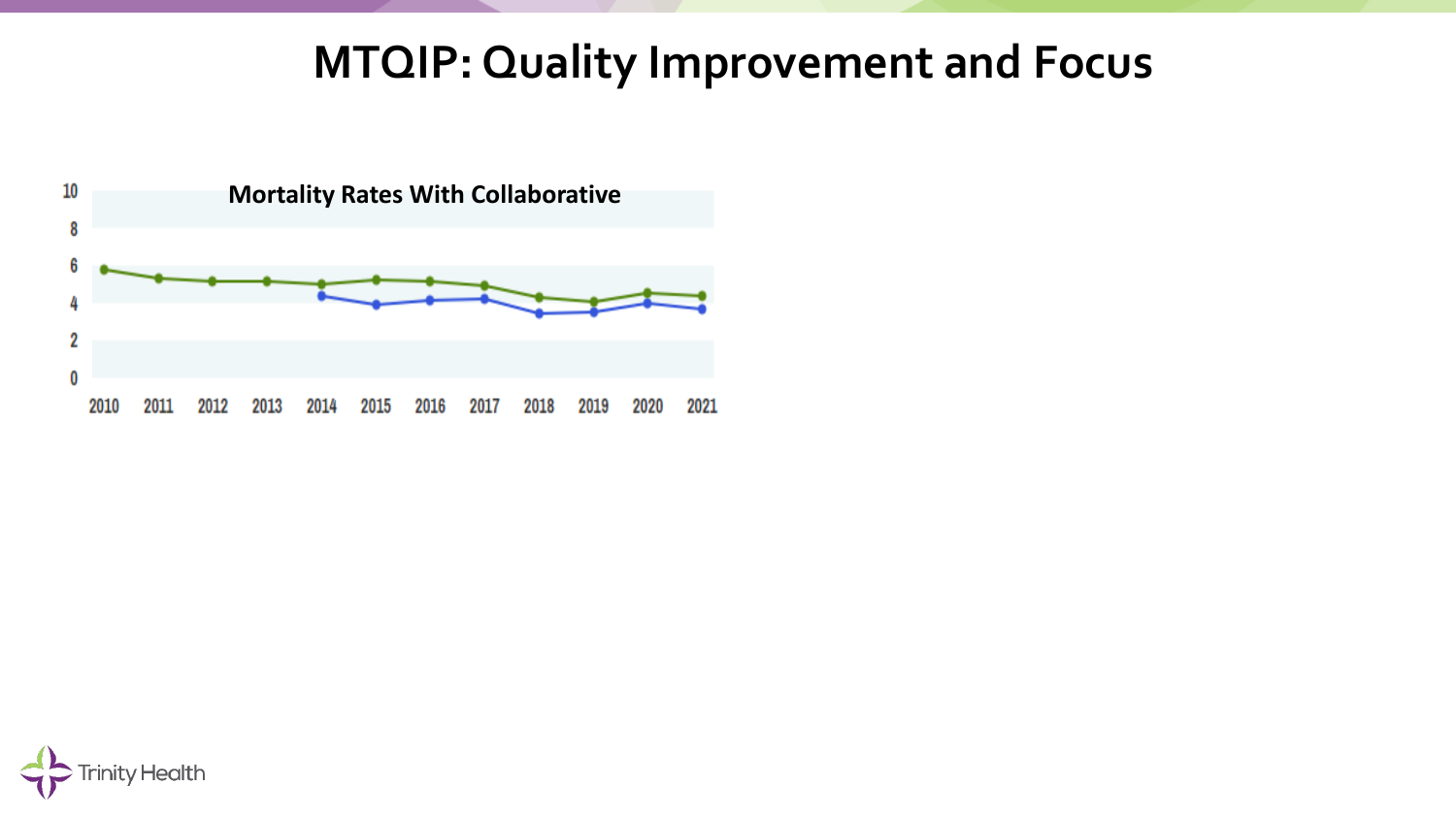#### **MTQIP: Quality Improvement and Focus**



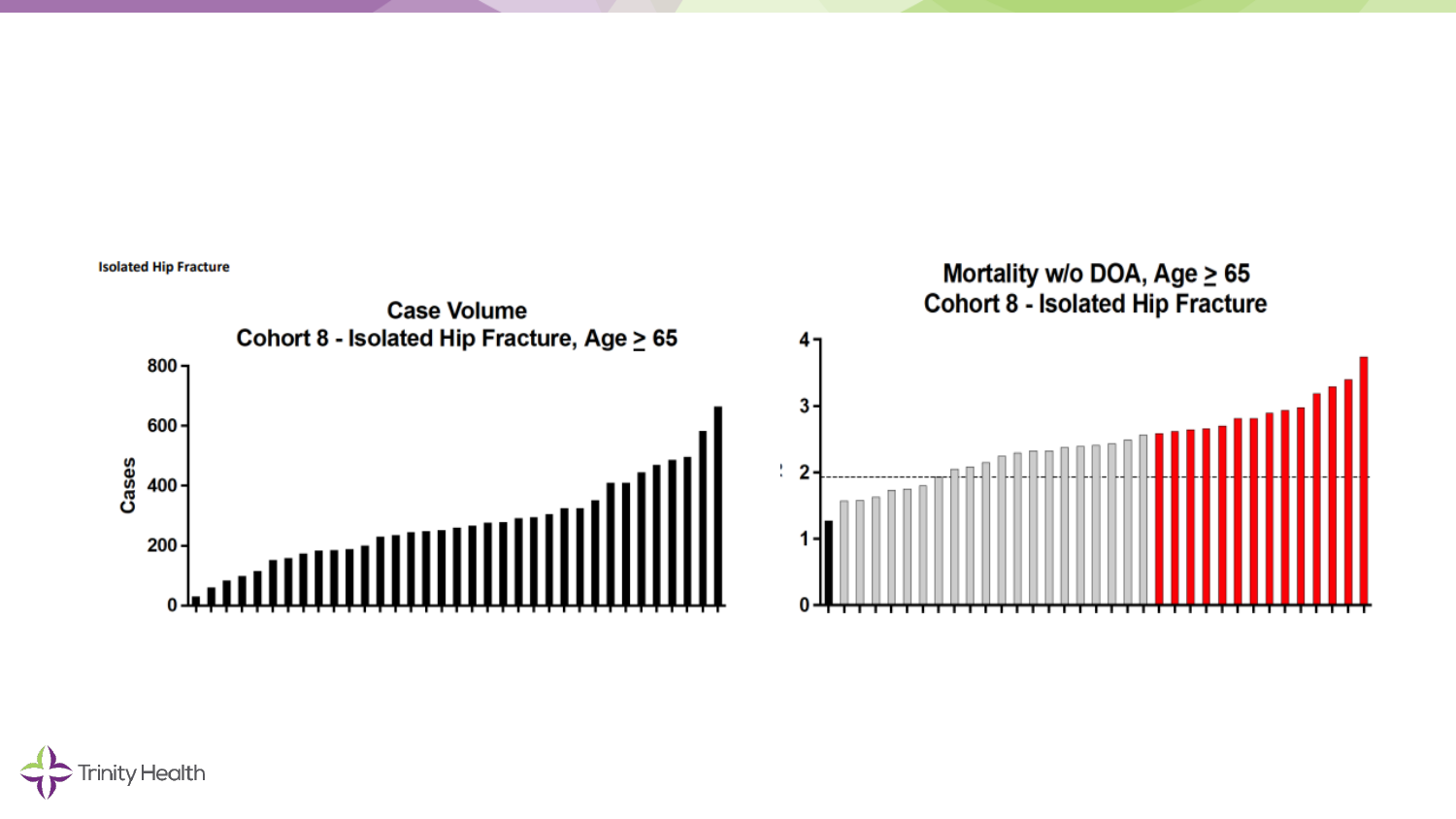

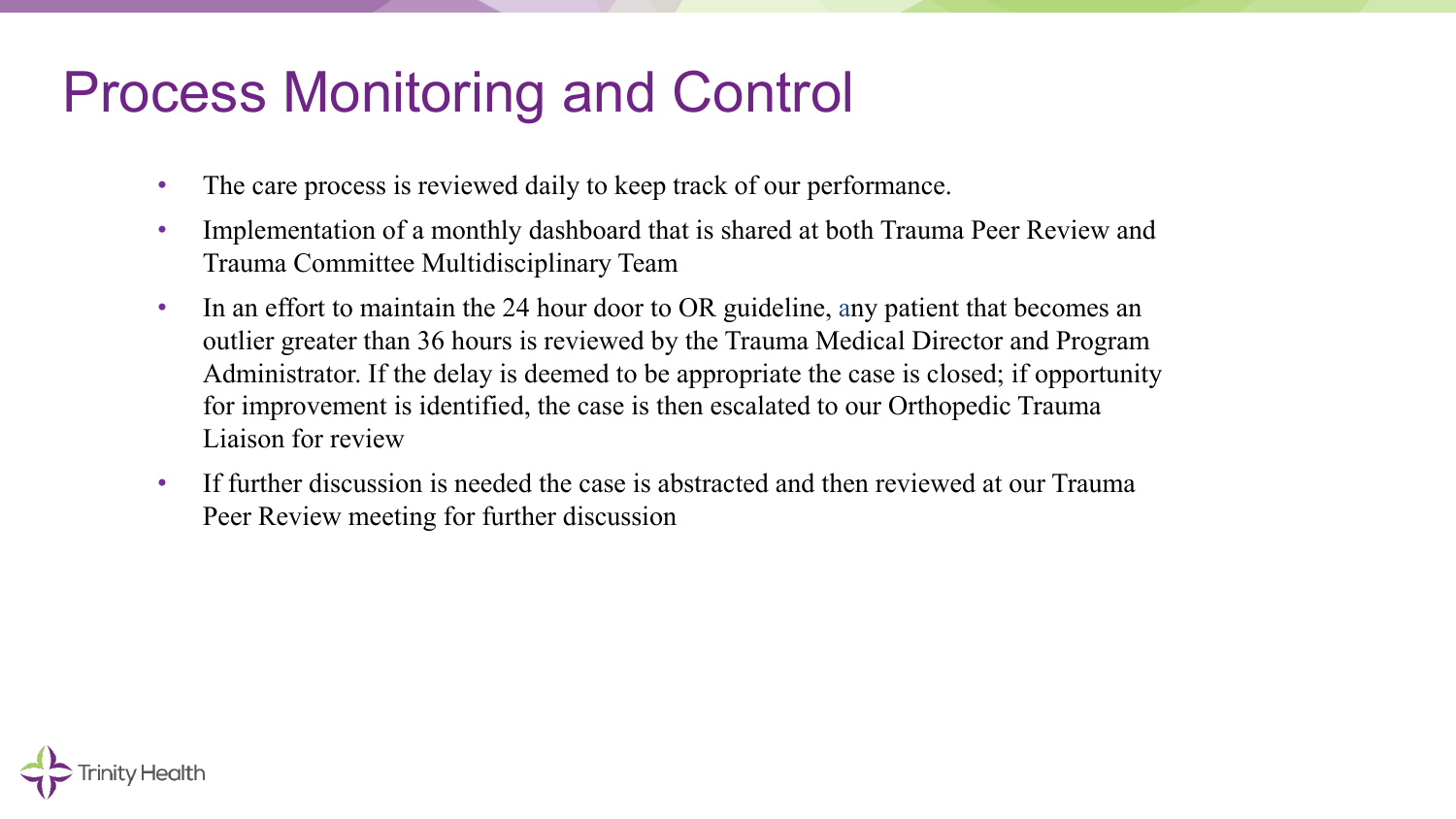#### Process Monitoring and Control

- The care process is reviewed daily to keep track of our performance.
- Implementation of a monthly dashboard that is shared at both Trauma Peer Review and Trauma Committee Multidisciplinary Team
- In an effort to maintain the 24 hour door to OR guideline, any patient that becomes an outlier greater than 36 hours is reviewed by the Trauma Medical Director and Program Administrator. If the delay is deemed to be appropriate the case is closed; if opportunity for improvement is identified, the case is then escalated to our Orthopedic Trauma Liaison for review
- If further discussion is needed the case is abstracted and then reviewed at our Trauma Peer Review meeting for further discussion

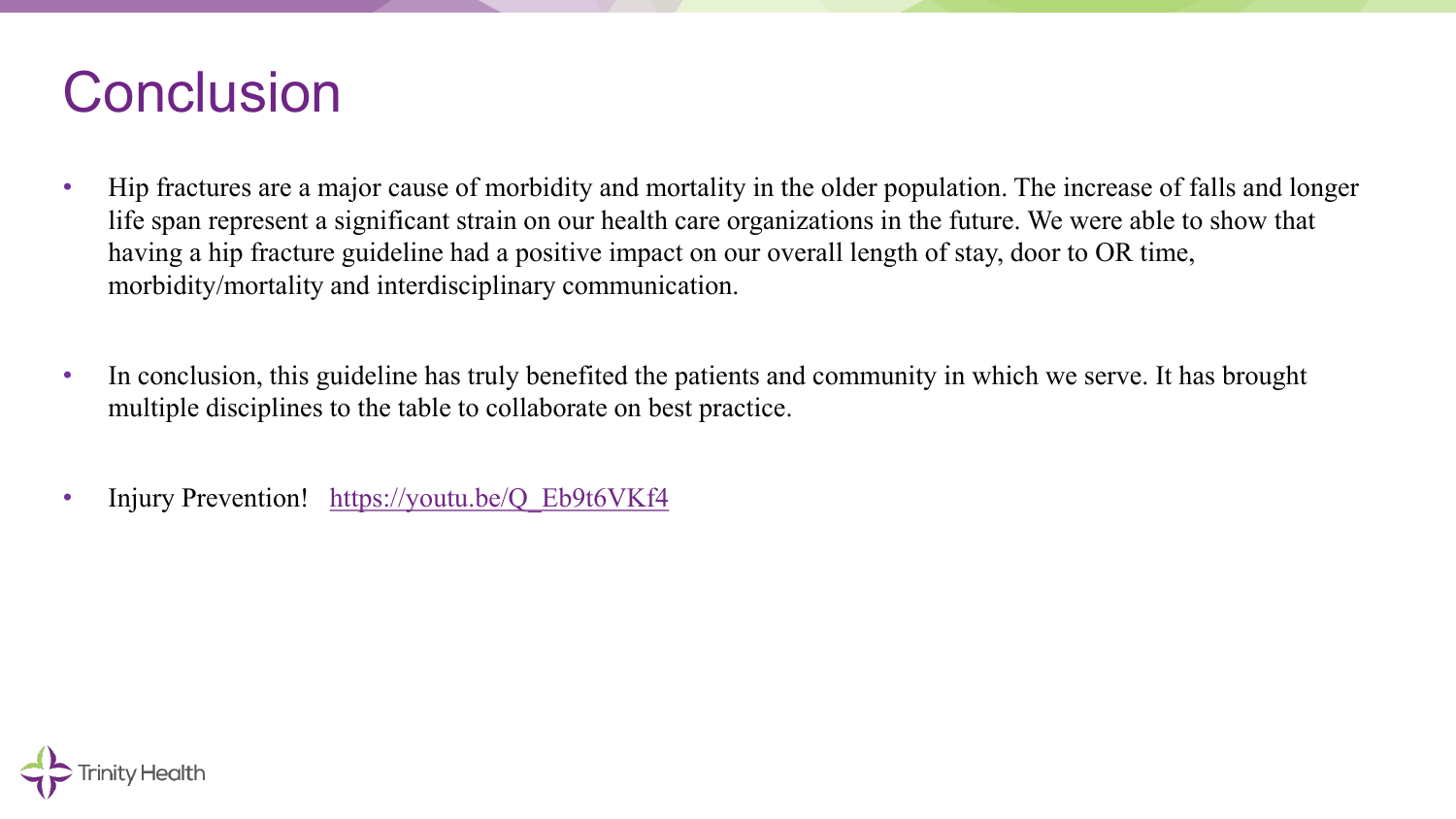#### **Conclusion**

- Hip fractures are a major cause of morbidity and mortality in the older population. The increase of falls and longer life span represent a significant strain on our health care organizations in the future. We were able to show that having a hip fracture guideline had a positive impact on our overall length of stay, door to OR time, morbidity/mortality and interdisciplinary communication.
- In conclusion, this guideline has truly benefited the patients and community in which we serve. It has brought multiple disciplines to the table to collaborate on best practice.
- Injury Prevention! https://youtu.be/Q Eb9t6VKf4